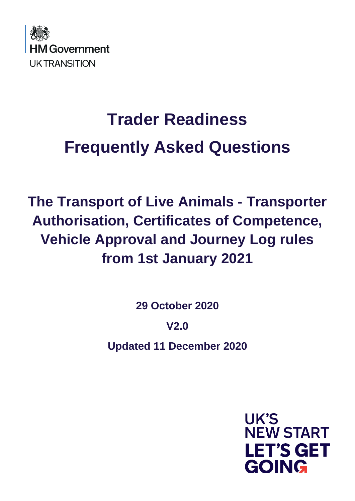

# **Trader Readiness Frequently Asked Questions**

**The Transport of Live Animals - Transporter Authorisation, Certificates of Competence, Vehicle Approval and Journey Log rules from 1st January 2021**

**29 October 2020**

**V2.0**

**Updated 11 December 2020**

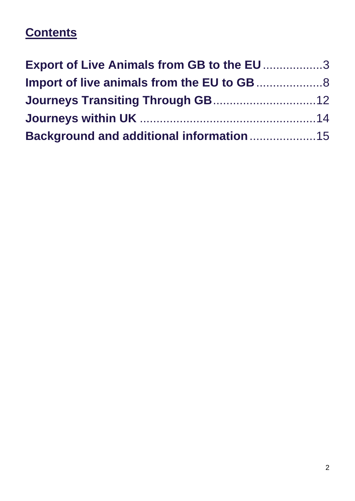# **Contents**

| <b>Export of Live Animals from GB to the EU 3</b> |  |
|---------------------------------------------------|--|
|                                                   |  |
|                                                   |  |
|                                                   |  |
| <b>Background and additional information 15</b>   |  |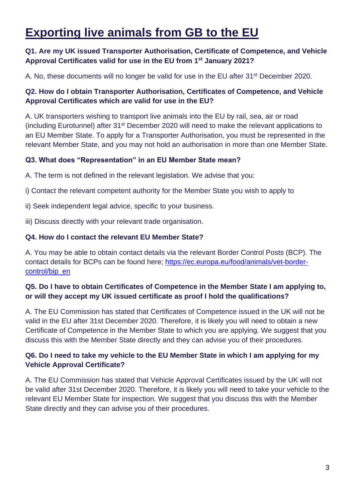# **Exporting live animals from GB to the EU**

# **Q1. Are my UK issued Transporter Authorisation, Certificate of Competence, and Vehicle Approval Certificates valid for use in the EU from 1st January 2021?**

A. No, these documents will no longer be valid for use in the EU after 31<sup>st</sup> December 2020.

# **Q2. How do I obtain Transporter Authorisation, Certificates of Competence, and Vehicle Approval Certificates which are valid for use in the EU?**

A. UK transporters wishing to transport live animals into the EU by rail, sea, air or road (including Eurotunnel) after 31st December 2020 will need to make the relevant applications to an EU Member State. To apply for a Transporter Authorisation, you must be represented in the relevant Member State, and you may not hold an authorisation in more than one Member State.

#### **Q3. What does "Representation" in an EU Member State mean?**

A. The term is not defined in the relevant legislation. We advise that you:

i) Contact the relevant competent authority for the Member State you wish to apply to

- ii) Seek independent legal advice, specific to your business.
- iii) Discuss directly with your relevant trade organisation.

#### **Q4. How do I contact the relevant EU Member State?**

A. You may be able to obtain contact details via the relevant Border Control Posts (BCP). The contact details for BCPs can be found here; [https://ec.europa.eu/food/animals/vet-border](https://ec.europa.eu/food/animals/vet-border-control/bip_en)[control/bip\\_en](https://ec.europa.eu/food/animals/vet-border-control/bip_en) 

# **Q5. Do I have to obtain Certificates of Competence in the Member State I am applying to, or will they accept my UK issued certificate as proof I hold the qualifications?**

A. The EU Commission has stated that Certificates of Competence issued in the UK will not be valid in the EU after 31st December 2020. Therefore, it is likely you will need to obtain a new Certificate of Competence in the Member State to which you are applying. We suggest that you discuss this with the Member State directly and they can advise you of their procedures.

# **Q6. Do I need to take my vehicle to the EU Member State in which I am applying for my Vehicle Approval Certificate?**

A. The EU Commission has stated that Vehicle Approval Certificates issued by the UK will not be valid after 31st December 2020. Therefore, it is likely you will need to take your vehicle to the relevant EU Member State for inspection. We suggest that you discuss this with the Member State directly and they can advise you of their procedures.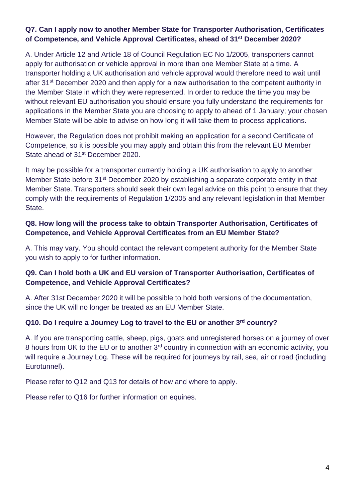### **Q7. Can I apply now to another Member State for Transporter Authorisation, Certificates of Competence, and Vehicle Approval Certificates, ahead of 31st December 2020?**

A. Under Article 12 and Article 18 of Council Regulation EC No 1/2005, transporters cannot apply for authorisation or vehicle approval in more than one Member State at a time. A transporter holding a UK authorisation and vehicle approval would therefore need to wait until after 31<sup>st</sup> December 2020 and then apply for a new authorisation to the competent authority in the Member State in which they were represented. In order to reduce the time you may be without relevant EU authorisation you should ensure you fully understand the requirements for applications in the Member State you are choosing to apply to ahead of 1 January; your chosen Member State will be able to advise on how long it will take them to process applications.

However, the Regulation does not prohibit making an application for a second Certificate of Competence, so it is possible you may apply and obtain this from the relevant EU Member State ahead of 31<sup>st</sup> December 2020.

It may be possible for a transporter currently holding a UK authorisation to apply to another Member State before 31st December 2020 by establishing a separate corporate entity in that Member State. Transporters should seek their own legal advice on this point to ensure that they comply with the requirements of Regulation 1/2005 and any relevant legislation in that Member State.

### **Q8. How long will the process take to obtain Transporter Authorisation, Certificates of Competence, and Vehicle Approval Certificates from an EU Member State?**

A. This may vary. You should contact the relevant competent authority for the Member State you wish to apply to for further information.

# **Q9. Can I hold both a UK and EU version of Transporter Authorisation, Certificates of Competence, and Vehicle Approval Certificates?**

A. After 31st December 2020 it will be possible to hold both versions of the documentation, since the UK will no longer be treated as an EU Member State.

#### **Q10. Do I require a Journey Log to travel to the EU or another 3rd country?**

A. If you are transporting cattle, sheep, pigs, goats and unregistered horses on a journey of over 8 hours from UK to the EU or to another 3<sup>rd</sup> country in connection with an economic activity, you will require a Journey Log. These will be required for journeys by rail, sea, air or road (including Eurotunnel).

Please refer to Q12 and Q13 for details of how and where to apply.

Please refer to Q16 for further information on equines.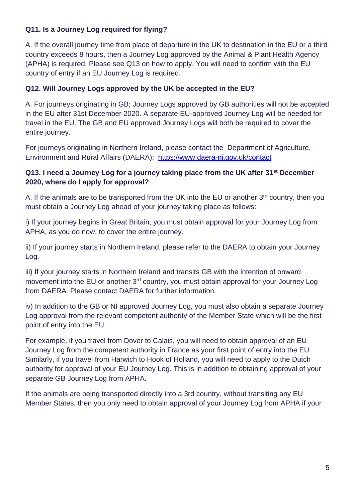# **Q11. Is a Journey Log required for flying?**

A. If the overall journey time from place of departure in the UK to destination in the EU or a third country exceeds 8 hours, then a Journey Log approved by the Animal & Plant Health Agency (APHA) is required. Please see Q13 on how to apply. You will need to confirm with the EU country of entry if an EU Journey Log is required.

# **Q12. Will Journey Logs approved by the UK be accepted in the EU?**

A. For journeys originating in GB; Journey Logs approved by GB authorities will not be accepted in the EU after 31st December 2020. A separate EU-approved Journey Log will be needed for travel in the EU. The GB and EU approved Journey Logs will both be required to cover the entire journey.

For journeys originating in Northern Ireland, please contact the Department of Agriculture, Environment and Rural Affairs (DAERA); <https://www.daera-ni.gov.uk/contact>

# **Q13. I need a Journey Log for a journey taking place from the UK after 31st December 2020, where do I apply for approval?**

A. If the animals are to be transported from the UK into the EU or another  $3<sup>rd</sup>$  country, then you must obtain a Journey Log ahead of your journey taking place as follows:

i) If your journey begins in Great Britain, you must obtain approval for your Journey Log from APHA, as you do now, to cover the entire journey.

ii) If your journey starts in Northern Ireland, please refer to the DAERA to obtain your Journey Log.

iii) If your journey starts in Northern Ireland and transits GB with the intention of onward movement into the EU or another 3<sup>rd</sup> country, you must obtain approval for your Journey Log from DAERA. Please contact DAERA for further information.

iv) In addition to the GB or NI approved Journey Log, you must also obtain a separate Journey Log approval from the relevant competent authority of the Member State which will be the first point of entry into the EU.

For example, if you travel from Dover to Calais, you will need to obtain approval of an EU Journey Log from the competent authority in France as your first point of entry into the EU. Similarly, if you travel from Harwich to Hook of Holland, you will need to apply to the Dutch authority for approval of your EU Journey Log. This is in addition to obtaining approval of your separate GB Journey Log from APHA.

If the animals are being transported directly into a 3rd country, without transiting any EU Member States, then you only need to obtain approval of your Journey Log from APHA if your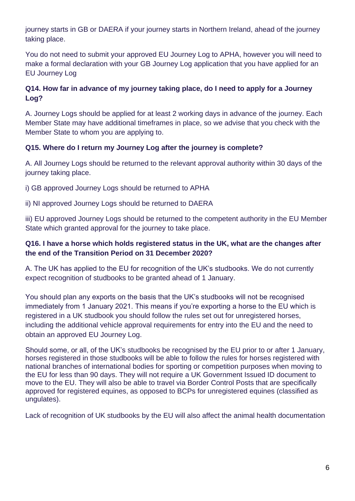journey starts in GB or DAERA if your journey starts in Northern Ireland, ahead of the journey taking place.

You do not need to submit your approved EU Journey Log to APHA, however you will need to make a formal declaration with your GB Journey Log application that you have applied for an EU Journey Log

# **Q14. How far in advance of my journey taking place, do I need to apply for a Journey Log?**

A. Journey Logs should be applied for at least 2 working days in advance of the journey. Each Member State may have additional timeframes in place, so we advise that you check with the Member State to whom you are applying to.

# **Q15. Where do I return my Journey Log after the journey is complete?**

A. All Journey Logs should be returned to the relevant approval authority within 30 days of the journey taking place.

i) GB approved Journey Logs should be returned to APHA

ii) NI approved Journey Logs should be returned to DAERA

iii) EU approved Journey Logs should be returned to the competent authority in the EU Member State which granted approval for the journey to take place.

# **Q16. I have a horse which holds registered status in the UK, what are the changes after the end of the Transition Period on 31 December 2020?**

A. The UK has applied to the EU for recognition of the UK's studbooks. We do not currently expect recognition of studbooks to be granted ahead of 1 January.

You should plan any exports on the basis that the UK's studbooks will not be recognised immediately from 1 January 2021. This means if you're exporting a horse to the EU which is registered in a UK studbook you should follow the rules set out for unregistered horses, including the additional vehicle approval requirements for entry into the EU and the need to obtain an approved EU Journey Log.

Should some, or all, of the UK's studbooks be recognised by the EU prior to or after 1 January, horses registered in those studbooks will be able to follow the rules for horses registered with national branches of international bodies for sporting or competition purposes when moving to the EU for less than 90 days. They will not require a UK Government Issued ID document to move to the EU. They will also be able to travel via Border Control Posts that are specifically approved for registered equines, as opposed to BCPs for unregistered equines (classified as ungulates).

Lack of recognition of UK studbooks by the EU will also affect the animal health documentation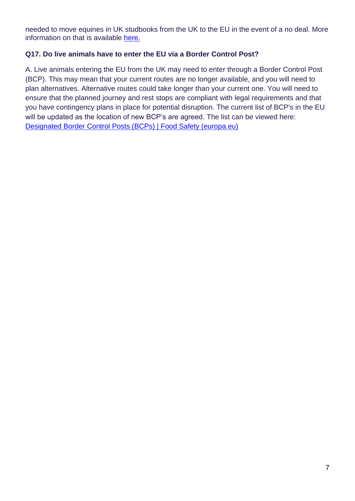needed to move equines in UK studbooks from the UK to the EU in the event of a no deal. More information on that is available [here.](https://www.gov.uk/guidance/export-horses-and-ponies-from-1-january-2021) 

# **Q17. Do live animals have to enter the EU via a Border Control Post?**

A. Live animals entering the EU from the UK may need to enter through a Border Control Post (BCP). This may mean that your current routes are no longer available, and you will need to plan alternatives. Alternative routes could take longer than your current one. You will need to ensure that the planned journey and rest stops are compliant with legal requirements and that you have contingency plans in place for potential disruption. The current list of BCP's in the EU will be updated as the location of new BCP's are agreed. The list can be viewed here: [Designated Border Control Posts \(BCPs\) | Food Safety \(europa.eu\)](https://ec.europa.eu/food/animals/vet-border-control/bip_en)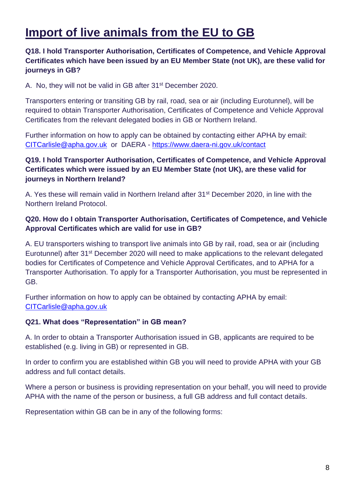# **Import of live animals from the EU to GB**

# **Q18. I hold Transporter Authorisation, Certificates of Competence, and Vehicle Approval Certificates which have been issued by an EU Member State (not UK), are these valid for journeys in GB?**

A. No, they will not be valid in GB after 31<sup>st</sup> December 2020.

Transporters entering or transiting GB by rail, road, sea or air (including Eurotunnel), will be required to obtain Transporter Authorisation, Certificates of Competence and Vehicle Approval Certificates from the relevant delegated bodies in GB or Northern Ireland.

Further information on how to apply can be obtained by contacting either APHA by email: [CITCarlisle@apha.gov.uk](mailto:CITCarlisle@apha.gov.uk) or DAERA - <https://www.daera-ni.gov.uk/contact>

# **Q19. I hold Transporter Authorisation, Certificates of Competence, and Vehicle Approval Certificates which were issued by an EU Member State (not UK), are these valid for journeys in Northern Ireland?**

A. Yes these will remain valid in Northern Ireland after 31st December 2020, in line with the Northern Ireland Protocol.

# **Q20. How do I obtain Transporter Authorisation, Certificates of Competence, and Vehicle Approval Certificates which are valid for use in GB?**

A. EU transporters wishing to transport live animals into GB by rail, road, sea or air (including Eurotunnel) after 31<sup>st</sup> December 2020 will need to make applications to the relevant delegated bodies for Certificates of Competence and Vehicle Approval Certificates, and to APHA for a Transporter Authorisation. To apply for a Transporter Authorisation, you must be represented in GB.

Further information on how to apply can be obtained by contacting APHA by email: [CITCarlisle@apha.gov.uk](mailto:CITCarlisle@apha.gov.uk)

#### **Q21. What does "Representation" in GB mean?**

A. In order to obtain a Transporter Authorisation issued in GB, applicants are required to be established (e.g. living in GB) or represented in GB.

In order to confirm you are established within GB you will need to provide APHA with your GB address and full contact details.

Where a person or business is providing representation on your behalf, you will need to provide APHA with the name of the person or business, a full GB address and full contact details.

Representation within GB can be in any of the following forms: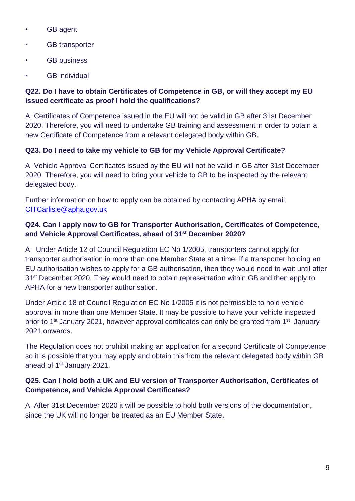- GB agent
- GB transporter
- GB business
- **GB** individual

# **Q22. Do I have to obtain Certificates of Competence in GB, or will they accept my EU issued certificate as proof I hold the qualifications?**

A. Certificates of Competence issued in the EU will not be valid in GB after 31st December 2020. Therefore, you will need to undertake GB training and assessment in order to obtain a new Certificate of Competence from a relevant delegated body within GB.

# **Q23. Do I need to take my vehicle to GB for my Vehicle Approval Certificate?**

A. Vehicle Approval Certificates issued by the EU will not be valid in GB after 31st December 2020. Therefore, you will need to bring your vehicle to GB to be inspected by the relevant delegated body.

Further information on how to apply can be obtained by contacting APHA by email: [CITCarlisle@apha.gov.uk](mailto:CITCarlisle@apha.gov.uk)

# **Q24. Can I apply now to GB for Transporter Authorisation, Certificates of Competence, and Vehicle Approval Certificates, ahead of 31st December 2020?**

A. Under Article 12 of Council Regulation EC No 1/2005, transporters cannot apply for transporter authorisation in more than one Member State at a time. If a transporter holding an EU authorisation wishes to apply for a GB authorisation, then they would need to wait until after 31<sup>st</sup> December 2020. They would need to obtain representation within GB and then apply to APHA for a new transporter authorisation.

Under Article 18 of Council Regulation EC No 1/2005 it is not permissible to hold vehicle approval in more than one Member State. It may be possible to have your vehicle inspected prior to 1<sup>st</sup> January 2021, however approval certificates can only be granted from 1<sup>st</sup> January 2021 onwards.

The Regulation does not prohibit making an application for a second Certificate of Competence, so it is possible that you may apply and obtain this from the relevant delegated body within GB ahead of 1<sup>st</sup> January 2021.

# **Q25. Can I hold both a UK and EU version of Transporter Authorisation, Certificates of Competence, and Vehicle Approval Certificates?**

A. After 31st December 2020 it will be possible to hold both versions of the documentation, since the UK will no longer be treated as an EU Member State.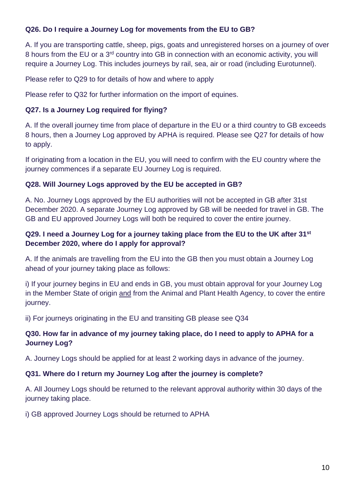# **Q26. Do I require a Journey Log for movements from the EU to GB?**

A. If you are transporting cattle, sheep, pigs, goats and unregistered horses on a journey of over 8 hours from the EU or a 3<sup>rd</sup> country into GB in connection with an economic activity, you will require a Journey Log. This includes journeys by rail, sea, air or road (including Eurotunnel).

Please refer to Q29 to for details of how and where to apply

Please refer to Q32 for further information on the import of equines.

# **Q27. Is a Journey Log required for flying?**

A. If the overall journey time from place of departure in the EU or a third country to GB exceeds 8 hours, then a Journey Log approved by APHA is required. Please see Q27 for details of how to apply.

If originating from a location in the EU, you will need to confirm with the EU country where the journey commences if a separate EU Journey Log is required.

# **Q28. Will Journey Logs approved by the EU be accepted in GB?**

A. No. Journey Logs approved by the EU authorities will not be accepted in GB after 31st December 2020. A separate Journey Log approved by GB will be needed for travel in GB. The GB and EU approved Journey Logs will both be required to cover the entire journey.

# **Q29. I need a Journey Log for a journey taking place from the EU to the UK after 31st December 2020, where do I apply for approval?**

A. If the animals are travelling from the EU into the GB then you must obtain a Journey Log ahead of your journey taking place as follows:

i) If your journey begins in EU and ends in GB, you must obtain approval for your Journey Log in the Member State of origin and from the Animal and Plant Health Agency, to cover the entire journey.

ii) For journeys originating in the EU and transiting GB please see Q34

# **Q30. How far in advance of my journey taking place, do I need to apply to APHA for a Journey Log?**

A. Journey Logs should be applied for at least 2 working days in advance of the journey.

#### **Q31. Where do I return my Journey Log after the journey is complete?**

A. All Journey Logs should be returned to the relevant approval authority within 30 days of the journey taking place.

i) GB approved Journey Logs should be returned to APHA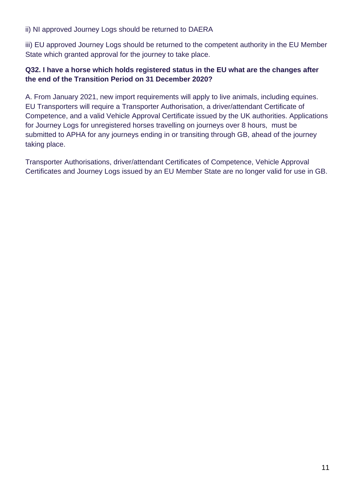ii) NI approved Journey Logs should be returned to DAERA

iii) EU approved Journey Logs should be returned to the competent authority in the EU Member State which granted approval for the journey to take place.

# **Q32. I have a horse which holds registered status in the EU what are the changes after the end of the Transition Period on 31 December 2020?**

A. From January 2021, new import requirements will apply to live animals, including equines. EU Transporters will require a Transporter Authorisation, a driver/attendant Certificate of Competence, and a valid Vehicle Approval Certificate issued by the UK authorities. Applications for Journey Logs for unregistered horses travelling on journeys over 8 hours, must be submitted to APHA for any journeys ending in or transiting through GB, ahead of the journey taking place.

Transporter Authorisations, driver/attendant Certificates of Competence, Vehicle Approval Certificates and Journey Logs issued by an EU Member State are no longer valid for use in GB.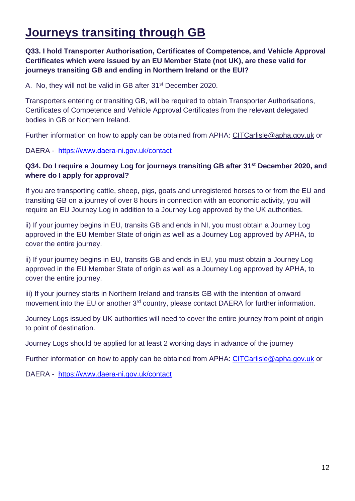# **Journeys transiting through GB**

# **Q33. I hold Transporter Authorisation, Certificates of Competence, and Vehicle Approval Certificates which were issued by an EU Member State (not UK), are these valid for journeys transiting GB and ending in Northern Ireland or the EUI?**

A. No, they will not be valid in GB after 31<sup>st</sup> December 2020.

Transporters entering or transiting GB, will be required to obtain Transporter Authorisations, Certificates of Competence and Vehicle Approval Certificates from the relevant delegated bodies in GB or Northern Ireland.

Further information on how to apply can be obtained from APHA: [CITCarlisle@apha.gov.uk](mailto:CITCarlisle@apha.gov.uk) or

DAERA - <https://www.daera-ni.gov.uk/contact>

#### **Q34. Do I require a Journey Log for journeys transiting GB after 31st December 2020, and where do I apply for approval?**

If you are transporting cattle, sheep, pigs, goats and unregistered horses to or from the EU and transiting GB on a journey of over 8 hours in connection with an economic activity, you will require an EU Journey Log in addition to a Journey Log approved by the UK authorities.

ii) If your journey begins in EU, transits GB and ends in NI, you must obtain a Journey Log approved in the EU Member State of origin as well as a Journey Log approved by APHA, to cover the entire journey.

ii) If your journey begins in EU, transits GB and ends in EU, you must obtain a Journey Log approved in the EU Member State of origin as well as a Journey Log approved by APHA, to cover the entire journey.

iii) If your journey starts in Northern Ireland and transits GB with the intention of onward movement into the EU or another 3<sup>rd</sup> country, please contact DAERA for further information.

Journey Logs issued by UK authorities will need to cover the entire journey from point of origin to point of destination.

Journey Logs should be applied for at least 2 working days in advance of the journey

Further information on how to apply can be obtained from APHA: [CITCarlisle@apha.gov.uk](mailto:CITCarlisle@apha.gov.uk) or

DAERA - <https://www.daera-ni.gov.uk/contact>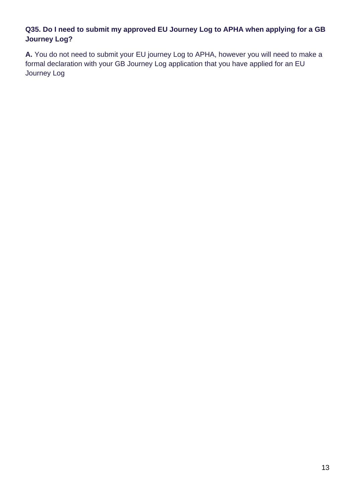# **Q35. Do I need to submit my approved EU Journey Log to APHA when applying for a GB Journey Log?**

**A.** You do not need to submit your EU journey Log to APHA, however you will need to make a formal declaration with your GB Journey Log application that you have applied for an EU Journey Log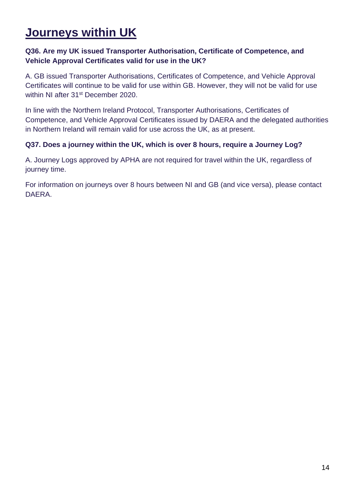# **Journeys within UK**

# **Q36. Are my UK issued Transporter Authorisation, Certificate of Competence, and Vehicle Approval Certificates valid for use in the UK?**

A. GB issued Transporter Authorisations, Certificates of Competence, and Vehicle Approval Certificates will continue to be valid for use within GB. However, they will not be valid for use within NI after 31<sup>st</sup> December 2020.

In line with the Northern Ireland Protocol, Transporter Authorisations, Certificates of Competence, and Vehicle Approval Certificates issued by DAERA and the delegated authorities in Northern Ireland will remain valid for use across the UK, as at present.

#### **Q37. Does a journey within the UK, which is over 8 hours, require a Journey Log?**

A. Journey Logs approved by APHA are not required for travel within the UK, regardless of journey time.

For information on journeys over 8 hours between NI and GB (and vice versa), please contact DAERA.